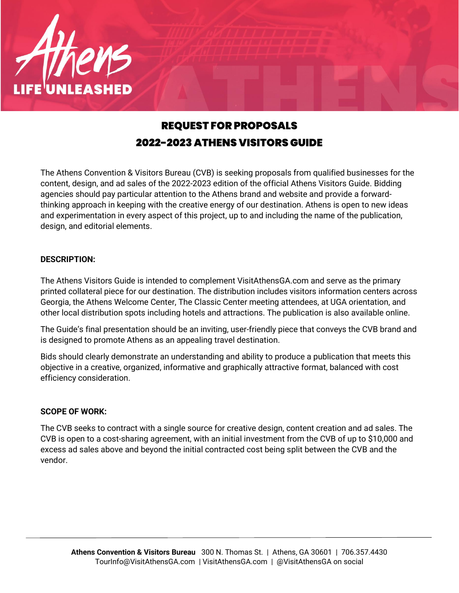

# REQUEST FOR PROPOSALS 2022-2023 ATHENS VISITORS GUIDE

The Athens Convention & Visitors Bureau (CVB) is seeking proposals from qualified businesses for the content, design, and ad sales of the 2022-2023 edition of the official Athens Visitors Guide. Bidding agencies should pay particular attention to the Athens brand and website and provide a forwardthinking approach in keeping with the creative energy of our destination. Athens is open to new ideas and experimentation in every aspect of this project, up to and including the name of the publication, design, and editorial elements.

# **DESCRIPTION:**

The Athens Visitors Guide is intended to complement VisitAthensGA.com and serve as the primary printed collateral piece for our destination. The distribution includes visitors information centers across Georgia, the Athens Welcome Center, The Classic Center meeting attendees, at UGA orientation, and other local distribution spots including hotels and attractions. The publication is also available online.

The Guide's final presentation should be an inviting, user-friendly piece that conveys the CVB brand and is designed to promote Athens as an appealing travel destination.

Bids should clearly demonstrate an understanding and ability to produce a publication that meets this objective in a creative, organized, informative and graphically attractive format, balanced with cost efficiency consideration.

#### **SCOPE OF WORK:**

The CVB seeks to contract with a single source for creative design, content creation and ad sales. The CVB is open to a cost-sharing agreement, with an initial investment from the CVB of up to \$10,000 and excess ad sales above and beyond the initial contracted cost being split between the CVB and the vendor.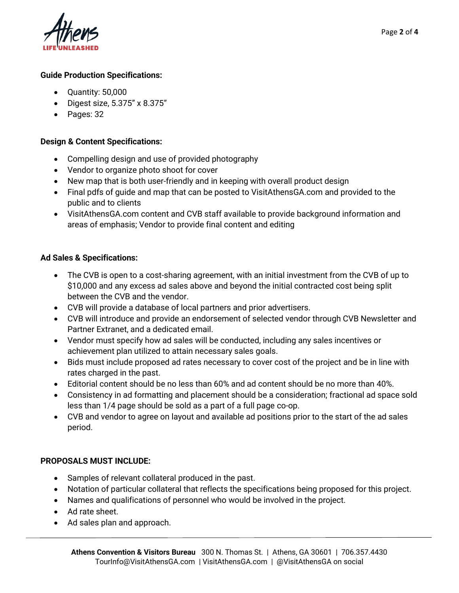

#### **Guide Production Specifications:**

- Quantity: 50,000
- Digest size, 5.375" x 8.375"
- Pages: 32

### **Design & Content Specifications:**

- Compelling design and use of provided photography
- Vendor to organize photo shoot for cover
- New map that is both user-friendly and in keeping with overall product design
- Final pdfs of guide and map that can be posted to VisitAthensGA.com and provided to the public and to clients
- VisitAthensGA.com content and CVB staff available to provide background information and areas of emphasis; Vendor to provide final content and editing

#### **Ad Sales & Specifications:**

- The CVB is open to a cost-sharing agreement, with an initial investment from the CVB of up to \$10,000 and any excess ad sales above and beyond the initial contracted cost being split between the CVB and the vendor.
- CVB will provide a database of local partners and prior advertisers.
- CVB will introduce and provide an endorsement of selected vendor through CVB Newsletter and Partner Extranet, and a dedicated email.
- Vendor must specify how ad sales will be conducted, including any sales incentives or achievement plan utilized to attain necessary sales goals.
- Bids must include proposed ad rates necessary to cover cost of the project and be in line with rates charged in the past.
- Editorial content should be no less than 60% and ad content should be no more than 40%.
- Consistency in ad formatting and placement should be a consideration; fractional ad space sold less than 1/4 page should be sold as a part of a full page co-op.
- CVB and vendor to agree on layout and available ad positions prior to the start of the ad sales period.

# **PROPOSALS MUST INCLUDE:**

- Samples of relevant collateral produced in the past.
- Notation of particular collateral that reflects the specifications being proposed for this project.
- Names and qualifications of personnel who would be involved in the project.
- Ad rate sheet.
- Ad sales plan and approach.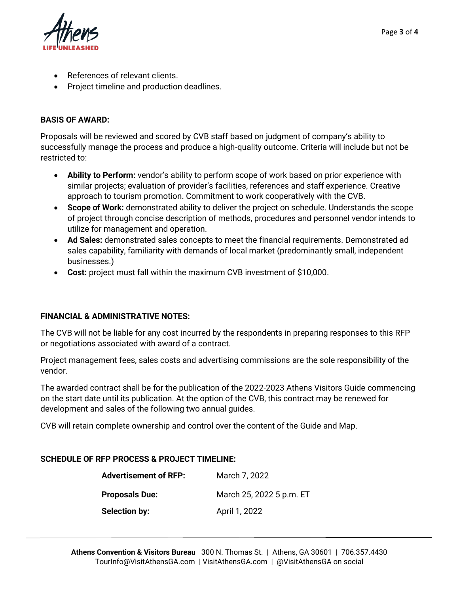

- References of relevant clients.
- Project timeline and production deadlines.

# **BASIS OF AWARD:**

Proposals will be reviewed and scored by CVB staff based on judgment of company's ability to successfully manage the process and produce a high-quality outcome. Criteria will include but not be restricted to:

- **Ability to Perform:** vendor's ability to perform scope of work based on prior experience with similar projects; evaluation of provider's facilities, references and staff experience. Creative approach to tourism promotion. Commitment to work cooperatively with the CVB.
- **Scope of Work:** demonstrated ability to deliver the project on schedule. Understands the scope of project through concise description of methods, procedures and personnel vendor intends to utilize for management and operation.
- **Ad Sales:** demonstrated sales concepts to meet the financial requirements. Demonstrated ad sales capability, familiarity with demands of local market (predominantly small, independent businesses.)
- **Cost:** project must fall within the maximum CVB investment of \$10,000.

# **FINANCIAL & ADMINISTRATIVE NOTES:**

The CVB will not be liable for any cost incurred by the respondents in preparing responses to this RFP or negotiations associated with award of a contract.

Project management fees, sales costs and advertising commissions are the sole responsibility of the vendor.

The awarded contract shall be for the publication of the 2022-2023 Athens Visitors Guide commencing on the start date until its publication. At the option of the CVB, this contract may be renewed for development and sales of the following two annual guides.

CVB will retain complete ownership and control over the content of the Guide and Map.

# **SCHEDULE OF RFP PROCESS & PROJECT TIMELINE:**

| <b>Advertisement of RFP:</b> | March 7, 2022            |
|------------------------------|--------------------------|
| <b>Proposals Due:</b>        | March 25, 2022 5 p.m. ET |
| Selection by:                | April 1, 2022            |